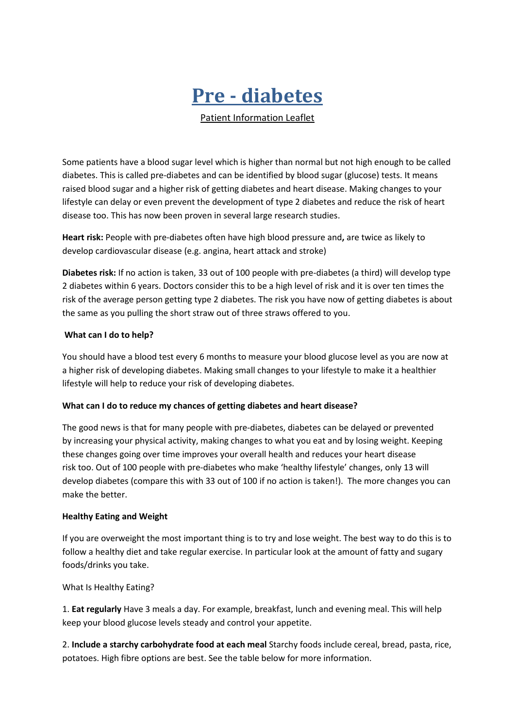# **Pre - diabetes**

Patient Information Leaflet

Some patients have a blood sugar level which is higher than normal but not high enough to be called diabetes. This is called pre-diabetes and can be identified by blood sugar (glucose) tests. It means raised blood sugar and a higher risk of getting diabetes and heart disease. Making changes to your lifestyle can delay or even prevent the development of type 2 diabetes and reduce the risk of heart disease too. This has now been proven in several large research studies.

**Heart risk:** People with pre-diabetes often have high blood pressure and**,** are twice as likely to develop cardiovascular disease (e.g. angina, heart attack and stroke)

**Diabetes risk:** If no action is taken, 33 out of 100 people with pre-diabetes (a third) will develop type 2 diabetes within 6 years. Doctors consider this to be a high level of risk and it is over ten times the risk of the average person getting type 2 diabetes. The risk you have now of getting diabetes is about the same as you pulling the short straw out of three straws offered to you.

#### **What can I do to help?**

You should have a blood test every 6 months to measure your blood glucose level as you are now at a higher risk of developing diabetes. Making small changes to your lifestyle to make it a healthier lifestyle will help to reduce your risk of developing diabetes.

#### **What can I do to reduce my chances of getting diabetes and heart disease?**

The good news is that for many people with pre-diabetes, diabetes can be delayed or prevented by increasing your physical activity, making changes to what you eat and by losing weight. Keeping these changes going over time improves your overall health and reduces your heart disease risk too. Out of 100 people with pre-diabetes who make 'healthy lifestyle' changes, only 13 will develop diabetes (compare this with 33 out of 100 if no action is taken!). The more changes you can make the better.

#### **Healthy Eating and Weight**

If you are overweight the most important thing is to try and lose weight. The best way to do this is to follow a healthy diet and take regular exercise. In particular look at the amount of fatty and sugary foods/drinks you take.

What Is Healthy Eating?

1. **Eat regularly** Have 3 meals a day. For example, breakfast, lunch and evening meal. This will help keep your blood glucose levels steady and control your appetite.

2. **Include a starchy carbohydrate food at each meal** Starchy foods include cereal, bread, pasta, rice, potatoes. High fibre options are best. See the table below for more information.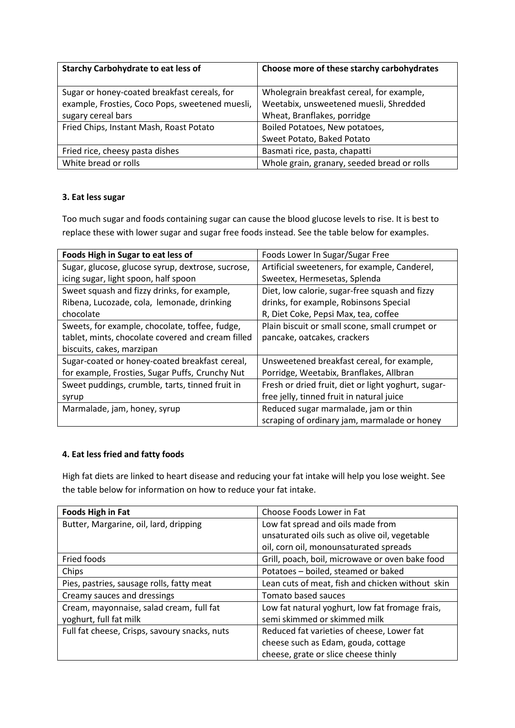| <b>Starchy Carbohydrate to eat less of</b>      | Choose more of these starchy carbohydrates  |
|-------------------------------------------------|---------------------------------------------|
| Sugar or honey-coated breakfast cereals, for    | Wholegrain breakfast cereal, for example,   |
| example, Frosties, Coco Pops, sweetened muesli, | Weetabix, unsweetened muesli, Shredded      |
| sugary cereal bars                              | Wheat, Branflakes, porridge                 |
| Fried Chips, Instant Mash, Roast Potato         | Boiled Potatoes, New potatoes,              |
|                                                 | Sweet Potato, Baked Potato                  |
| Fried rice, cheesy pasta dishes                 | Basmati rice, pasta, chapatti               |
| White bread or rolls                            | Whole grain, granary, seeded bread or rolls |

# **3. Eat less sugar**

Too much sugar and foods containing sugar can cause the blood glucose levels to rise. It is best to replace these with lower sugar and sugar free foods instead. See the table below for examples.

| Foods High in Sugar to eat less of                | Foods Lower In Sugar/Sugar Free                     |
|---------------------------------------------------|-----------------------------------------------------|
| Sugar, glucose, glucose syrup, dextrose, sucrose, | Artificial sweeteners, for example, Canderel,       |
| icing sugar, light spoon, half spoon              | Sweetex, Hermesetas, Splenda                        |
| Sweet squash and fizzy drinks, for example,       | Diet, low calorie, sugar-free squash and fizzy      |
| Ribena, Lucozade, cola, lemonade, drinking        | drinks, for example, Robinsons Special              |
| chocolate                                         | R, Diet Coke, Pepsi Max, tea, coffee                |
| Sweets, for example, chocolate, toffee, fudge,    | Plain biscuit or small scone, small crumpet or      |
| tablet, mints, chocolate covered and cream filled | pancake, oatcakes, crackers                         |
| biscuits, cakes, marzipan                         |                                                     |
| Sugar-coated or honey-coated breakfast cereal,    | Unsweetened breakfast cereal, for example,          |
| for example, Frosties, Sugar Puffs, Crunchy Nut   | Porridge, Weetabix, Branflakes, Allbran             |
| Sweet puddings, crumble, tarts, tinned fruit in   | Fresh or dried fruit, diet or light yoghurt, sugar- |
| syrup                                             | free jelly, tinned fruit in natural juice           |
| Marmalade, jam, honey, syrup                      | Reduced sugar marmalade, jam or thin                |
|                                                   | scraping of ordinary jam, marmalade or honey        |

# **4. Eat less fried and fatty foods**

High fat diets are linked to heart disease and reducing your fat intake will help you lose weight. See the table below for information on how to reduce your fat intake.

| <b>Foods High in Fat</b>                      | Choose Foods Lower in Fat                        |
|-----------------------------------------------|--------------------------------------------------|
| Butter, Margarine, oil, lard, dripping        | Low fat spread and oils made from                |
|                                               | unsaturated oils such as olive oil, vegetable    |
|                                               | oil, corn oil, monounsaturated spreads           |
| Fried foods                                   | Grill, poach, boil, microwave or oven bake food  |
| Chips                                         | Potatoes - boiled, steamed or baked              |
| Pies, pastries, sausage rolls, fatty meat     | Lean cuts of meat, fish and chicken without skin |
| Creamy sauces and dressings                   | Tomato based sauces                              |
| Cream, mayonnaise, salad cream, full fat      | Low fat natural yoghurt, low fat fromage frais,  |
| yoghurt, full fat milk                        | semi skimmed or skimmed milk                     |
| Full fat cheese, Crisps, savoury snacks, nuts | Reduced fat varieties of cheese, Lower fat       |
|                                               | cheese such as Edam, gouda, cottage              |
|                                               | cheese, grate or slice cheese thinly             |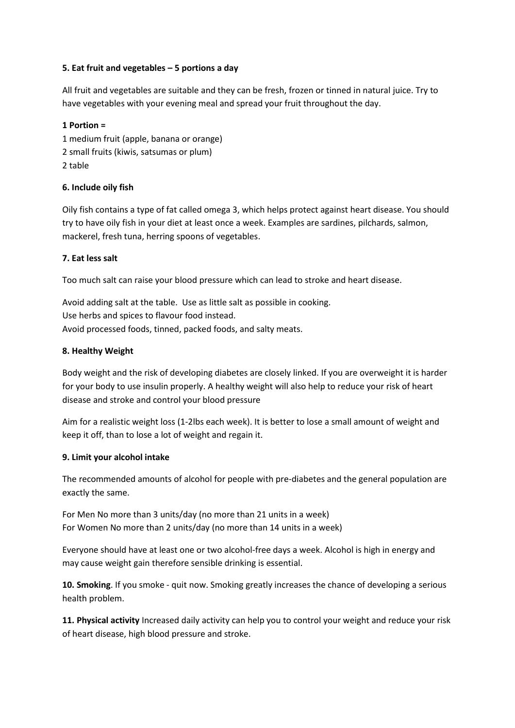## **5. Eat fruit and vegetables – 5 portions a day**

All fruit and vegetables are suitable and they can be fresh, frozen or tinned in natural juice. Try to have vegetables with your evening meal and spread your fruit throughout the day.

## **1 Portion =**

1 medium fruit (apple, banana or orange) 2 small fruits (kiwis, satsumas or plum) 2 table

# **6. Include oily fish**

Oily fish contains a type of fat called omega 3, which helps protect against heart disease. You should try to have oily fish in your diet at least once a week. Examples are sardines, pilchards, salmon, mackerel, fresh tuna, herring spoons of vegetables.

## **7. Eat less salt**

Too much salt can raise your blood pressure which can lead to stroke and heart disease.

Avoid adding salt at the table. Use as little salt as possible in cooking. Use herbs and spices to flavour food instead. Avoid processed foods, tinned, packed foods, and salty meats.

## **8. Healthy Weight**

Body weight and the risk of developing diabetes are closely linked. If you are overweight it is harder for your body to use insulin properly. A healthy weight will also help to reduce your risk of heart disease and stroke and control your blood pressure

Aim for a realistic weight loss (1-2lbs each week). It is better to lose a small amount of weight and keep it off, than to lose a lot of weight and regain it.

#### **9. Limit your alcohol intake**

The recommended amounts of alcohol for people with pre-diabetes and the general population are exactly the same.

For Men No more than 3 units/day (no more than 21 units in a week) For Women No more than 2 units/day (no more than 14 units in a week)

Everyone should have at least one or two alcohol-free days a week. Alcohol is high in energy and may cause weight gain therefore sensible drinking is essential.

**10. Smoking**. If you smoke - quit now. Smoking greatly increases the chance of developing a serious health problem.

**11. Physical activity** Increased daily activity can help you to control your weight and reduce your risk of heart disease, high blood pressure and stroke.